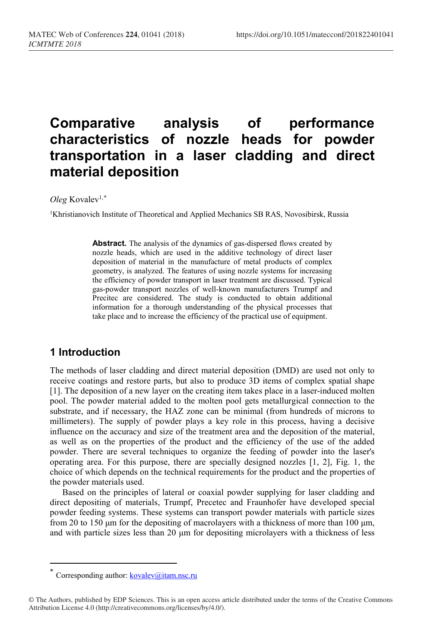# **Comparative analysis of performance characteristics of nozzle heads for powder transportation in a laser cladding and direct material deposition**

*Oleg* Kovalev1,[\\*](#page-0-0)

<sup>1</sup>Khristianovich Institute of Theoretical and Applied Mechanics SB RAS, Novosibirsk, Russia

**Abstract.** The analysis of the dynamics of gas-dispersed flows created by nozzle heads, which are used in the additive technology of direct laser deposition of material in the manufacture of metal products of complex geometry, is analyzed. The features of using nozzle systems for increasing the efficiency of powder transport in laser treatment are discussed. Typical gas-powder transport nozzles of well-known manufacturers Trumpf and Precitec are considered. The study is conducted to obtain additional information for a thorough understanding of the physical processes that take place and to increase the efficiency of the practical use of equipment.

# **1 Introduction**

The methods of laser cladding and direct material deposition (DMD) are used not only to receive coatings and restore parts, but also to produce 3D items of complex spatial shape [1]. The deposition of a new layer on the creating item takes place in a laser-induced molten pool. The powder material added to the molten pool gets metallurgical connection to the substrate, and if necessary, the HAZ zone can be minimal (from hundreds of microns to millimeters). The supply of powder plays a key role in this process, having a decisive influence on the accuracy and size of the treatment area and the deposition of the material, as well as on the properties of the product and the efficiency of the use of the added powder. There are several techniques to organize the feeding of powder into the laser's operating area. For this purpose, there are specially designed nozzles [1, 2], Fig. 1, the choice of which depends on the technical requirements for the product and the properties of the powder materials used.

Based on the principles of lateral or coaxial powder supplying for laser cladding and direct depositing of materials, Trumpf, Precetec and Fraunhofer have developed special powder feeding systems. These systems can transport powder materials with particle sizes from 20 to 150 μm for the depositing of macrolayers with a thickness of more than 100  $\mu$ m, and with particle sizes less than 20 μm for depositing microlayers with a thickness of less

<span id="page-0-0"></span> $\overline{a}$ 

Corresponding author: **kovalev@itam.nsc.ru**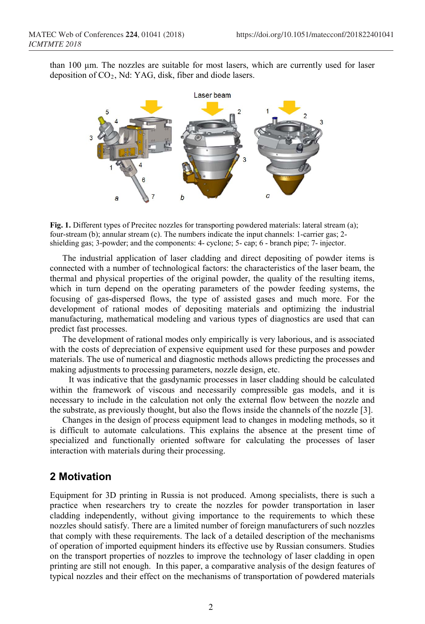than 100 μm. The nozzles are suitable for most lasers, which are currently used for laser deposition of CO2, Nd: YAG, disk, fiber and diode lasers.



**Fig. 1.** Different types of Precitec nozzles for transporting powdered materials: lateral stream (a); four-stream (b); annular stream (c). The numbers indicate the input channels: 1-carrier gas; 2 shielding gas; 3-powder; and the components: 4- cyclone; 5- cap; 6 - branch pipe; 7- injector.

The industrial application of laser cladding and direct depositing of powder items is connected with a number of technological factors: the characteristics of the laser beam, the thermal and physical properties of the original powder, the quality of the resulting items, which in turn depend on the operating parameters of the powder feeding systems, the focusing of gas-dispersed flows, the type of assisted gases and much more. For the development of rational modes of depositing materials and optimizing the industrial manufacturing, mathematical modeling and various types of diagnostics are used that can predict fast processes.

The development of rational modes only empirically is very laborious, and is associated with the costs of depreciation of expensive equipment used for these purposes and powder materials. The use of numerical and diagnostic methods allows predicting the processes and making adjustments to processing parameters, nozzle design, etc.

It was indicative that the gasdynamic processes in laser cladding should be calculated within the framework of viscous and necessarily compressible gas models, and it is necessary to include in the calculation not only the external flow between the nozzle and the substrate, as previously thought, but also the flows inside the channels of the nozzle [3].

Changes in the design of process equipment lead to changes in modeling methods, so it is difficult to automate calculations. This explains the absence at the present time of specialized and functionally oriented software for calculating the processes of laser interaction with materials during their processing.

#### **2 Motivation**

Equipment for 3D printing in Russia is not produced. Among specialists, there is such a practice when researchers try to create the nozzles for powder transportation in laser cladding independently, without giving importance to the requirements to which these nozzles should satisfy. There are a limited number of foreign manufacturers of such nozzles that comply with these requirements. The lack of a detailed description of the mechanisms of operation of imported equipment hinders its effective use by Russian consumers. Studies on the transport properties of nozzles to improve the technology of laser cladding in open printing are still not enough. In this paper, a comparative analysis of the design features of typical nozzles and their effect on the mechanisms of transportation of powdered materials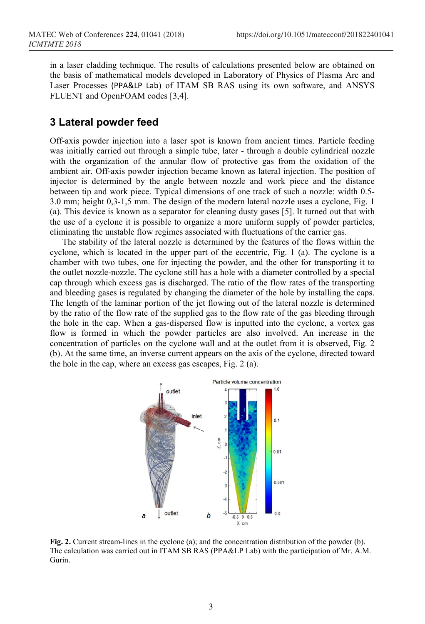in a laser cladding technique. The results of calculations presented below are obtained on the basis of mathematical models developed in Laboratory of Physics of Plasma Arc and Laser Processes (PPA&LP Lab) of ITAM SB RAS using its own software, and ANSYS FLUENT and OpenFOAM codes [3,4].

#### **3 Lateral powder feed**

Off-axis powder injection into a laser spot is known from ancient times. Particle feeding was initially carried out through a simple tube, later - through a double cylindrical nozzle with the organization of the annular flow of protective gas from the oxidation of the ambient air. Off-axis powder injection became known as lateral injection. The position of injector is determined by the angle between nozzle and work piece and the distance between tip and work piece. Typical dimensions of one track of such a nozzle: width 0.5- 3.0 mm; height 0,3-1,5 mm. The design of the modern lateral nozzle uses a cyclone, Fig. 1 (a). This device is known as a separator for cleaning dusty gases [5]. It turned out that with the use of a cyclone it is possible to organize a more uniform supply of powder particles, eliminating the unstable flow regimes associated with fluctuations of the carrier gas.

The stability of the lateral nozzle is determined by the features of the flows within the cyclone, which is located in the upper part of the eccentric, Fig. 1 (a). The cyclone is a chamber with two tubes, one for injecting the powder, and the other for transporting it to the outlet nozzle-nozzle. The cyclone still has a hole with a diameter controlled by a special cap through which excess gas is discharged. The ratio of the flow rates of the transporting and bleeding gases is regulated by changing the diameter of the hole by installing the caps. The length of the laminar portion of the jet flowing out of the lateral nozzle is determined by the ratio of the flow rate of the supplied gas to the flow rate of the gas bleeding through the hole in the cap. When a gas-dispersed flow is inputted into the cyclone, a vortex gas flow is formed in which the powder particles are also involved. An increase in the concentration of particles on the cyclone wall and at the outlet from it is observed, Fig. 2 (b). At the same time, an inverse current appears on the axis of the cyclone, directed toward the hole in the cap, where an excess gas escapes, Fig. 2 (a).



**Fig. 2.** Current stream-lines in the cyclone (a); and the concentration distribution of the powder (b). The calculation was carried out in ITAM SB RAS (PPA&LP Lab) with the participation of Mr. A.M. Gurin.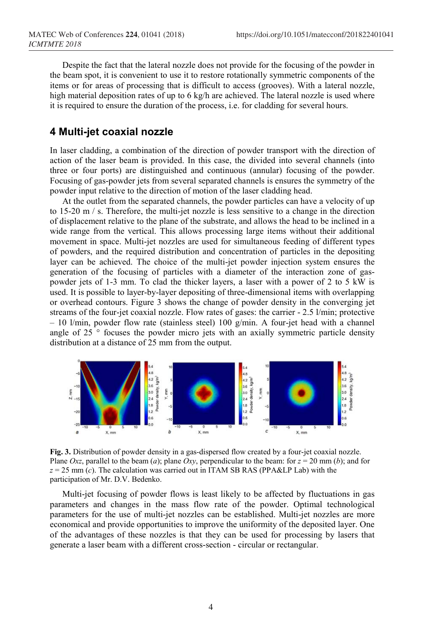Despite the fact that the lateral nozzle does not provide for the focusing of the powder in the beam spot, it is convenient to use it to restore rotationally symmetric components of the items or for areas of processing that is difficult to access (grooves). With a lateral nozzle, high material deposition rates of up to 6 kg/h are achieved. The lateral nozzle is used where it is required to ensure the duration of the process, i.e. for cladding for several hours.

### **4 Multi-jet coaxial nozzle**

In laser cladding, a combination of the direction of powder transport with the direction of action of the laser beam is provided. In this case, the divided into several channels (into three or four ports) are distinguished and continuous (annular) focusing of the powder. Focusing of gas-powder jets from several separated channels is ensures the symmetry of the powder input relative to the direction of motion of the laser cladding head.

At the outlet from the separated channels, the powder particles can have a velocity of up to 15-20 m / s. Therefore, the multi-jet nozzle is less sensitive to a change in the direction of displacement relative to the plane of the substrate, and allows the head to be inclined in a wide range from the vertical. This allows processing large items without their additional movement in space. Multi-jet nozzles are used for simultaneous feeding of different types of powders, and the required distribution and concentration of particles in the depositing layer can be achieved. The choice of the multi-jet powder injection system ensures the generation of the focusing of particles with a diameter of the interaction zone of gaspowder jets of 1-3 mm. To clad the thicker layers, a laser with a power of 2 to 5 kW is used. It is possible to layer-by-layer depositing of three-dimensional items with overlapping or overhead contours. Figure 3 shows the change of powder density in the converging jet streams of the four-jet coaxial nozzle. Flow rates of gases: the carrier - 2.5 l/min; protective – 10 l/min, powder flow rate (stainless steel) 100 g/min. A four-jet head with a channel angle of  $25^{\circ}$  focuses the powder micro jets with an axially symmetric particle density distribution at a distance of 25 mm from the output.



**Fig. 3.** Distribution of powder density in a gas-dispersed flow created by a four-jet coaxial nozzle. Plane *Oxz*, parallel to the beam (*a*); plane *Oxy*, perpendicular to the beam: for  $z = 20$  mm (*b*); and for  $z = 25$  mm  $(c)$ . The calculation was carried out in ITAM SB RAS (PPA&LP Lab) with the participation of Mr. D.V. Bedenko.

Multi-jet focusing of powder flows is least likely to be affected by fluctuations in gas parameters and changes in the mass flow rate of the powder. Optimal technological parameters for the use of multi-jet nozzles can be established. Multi-jet nozzles are more economical and provide opportunities to improve the uniformity of the deposited layer. One of the advantages of these nozzles is that they can be used for processing by lasers that generate a laser beam with a different cross-section - circular or rectangular.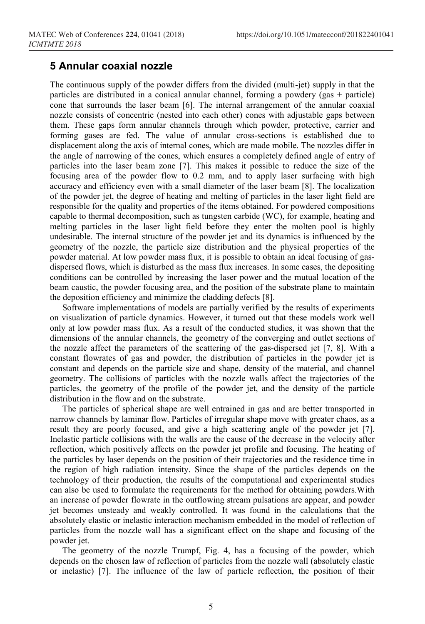#### **5 Annular coaxial nozzle**

The continuous supply of the powder differs from the divided (multi-jet) supply in that the particles are distributed in a conical annular channel, forming a powdery (gas + particle) cone that surrounds the laser beam [6]. The internal arrangement of the annular coaxial nozzle consists of concentric (nested into each other) cones with adjustable gaps between them. These gaps form annular channels through which powder, protective, carrier and forming gases are fed. The value of annular cross-sections is established due to displacement along the axis of internal cones, which are made mobile. The nozzles differ in the angle of narrowing of the cones, which ensures a completely defined angle of entry of particles into the laser beam zone [7]. This makes it possible to reduce the size of the focusing area of the powder flow to 0.2 mm, and to apply laser surfacing with high accuracy and efficiency even with a small diameter of the laser beam [8]. The localization of the powder jet, the degree of heating and melting of particles in the laser light field are responsible for the quality and properties of the items obtained. For powdered compositions capable to thermal decomposition, such as tungsten carbide (WC), for example, heating and melting particles in the laser light field before they enter the molten pool is highly undesirable. The internal structure of the powder jet and its dynamics is influenced by the geometry of the nozzle, the particle size distribution and the physical properties of the powder material. At low powder mass flux, it is possible to obtain an ideal focusing of gasdispersed flows, which is disturbed as the mass flux increases. In some cases, the depositing conditions can be controlled by increasing the laser power and the mutual location of the beam caustic, the powder focusing area, and the position of the substrate plane to maintain the deposition efficiency and minimize the cladding defects [8].

Software implementations of models are partially verified by the results of experiments on visualization of particle dynamics. However, it turned out that these models work well only at low powder mass flux. As a result of the conducted studies, it was shown that the dimensions of the annular channels, the geometry of the converging and outlet sections of the nozzle affect the parameters of the scattering of the gas-dispersed jet [7, 8]. With a constant flowrates of gas and powder, the distribution of particles in the powder jet is constant and depends on the particle size and shape, density of the material, and channel geometry. The collisions of particles with the nozzle walls affect the trajectories of the particles, the geometry of the profile of the powder jet, and the density of the particle distribution in the flow and on the substrate.

The particles of spherical shape are well entrained in gas and are better transported in narrow channels by laminar flow. Particles of irregular shape move with greater chaos, as a result they are poorly focused, and give a high scattering angle of the powder jet [7]. Inelastic particle collisions with the walls are the cause of the decrease in the velocity after reflection, which positively affects on the powder jet profile and focusing. The heating of the particles by laser depends on the position of their trajectories and the residence time in the region of high radiation intensity. Since the shape of the particles depends on the technology of their production, the results of the computational and experimental studies can also be used to formulate the requirements for the method for obtaining powders.With an increase of powder flowrate in the outflowing stream pulsations are appear, and powder jet becomes unsteady and weakly controlled. It was found in the calculations that the absolutely elastic or inelastic interaction mechanism embedded in the model of reflection of particles from the nozzle wall has a significant effect on the shape and focusing of the powder jet.

The geometry of the nozzle Trumpf, Fig. 4, has a focusing of the powder, which depends on the chosen law of reflection of particles from the nozzle wall (absolutely elastic or inelastic) [7]. The influence of the law of particle reflection, the position of their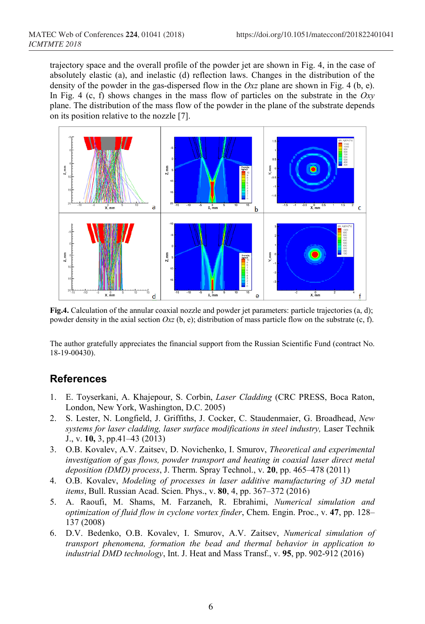trajectory space and the overall profile of the powder jet are shown in Fig. 4, in the case of absolutely elastic (a), and inelastic (d) reflection laws. Changes in the distribution of the density of the powder in the gas-dispersed flow in the *Oxz* plane are shown in Fig. 4 (b, e). In Fig. 4 (c, f) shows changes in the mass flow of particles on the substrate in the *Oxy* plane. The distribution of the mass flow of the powder in the plane of the substrate depends on its position relative to the nozzle [7].



**Fig.4.** Calculation of the annular coaxial nozzle and powder jet parameters: particle trajectories (a, d); powder density in the axial section *Oxz* (b, e); distribution of mass particle flow on the substrate (c, f).

The author gratefully appreciates the financial support from the Russian Scientific Fund (contract No. 18-19-00430).

## **References**

- 1. E. Toyserkani, A. Khajepour, S. Corbin, *Laser Cladding* (CRC PRESS, Boca Raton, London, New York, Washington, D.C. 2005)
- 2. S. Lester, N. Longfield, J. Griffiths, J. Cocker, C. Staudenmaier, G. Broadhead, *New systems for laser cladding, laser surface modifications in steel industry,* Laser Technik J., v. **10,** 3, pp.41–43 (2013)
- 3. O.B. Kovalev, A.V. Zaitsev, D. Novichenko, I. Smurov, *Theoretical and experimental investigation of gas flows, powder transport and heating in coaxial laser direct metal deposition (DMD) process*, J. Therm. Spray Technol., v. **20**, pp. 465–478 (2011)
- 4. O.B. Kovalev, *Modeling of processes in laser additive manufacturing of 3D metal items*, Bull. Russian Acad. Scien. Phys., v. **80**, 4, pp. 367–372 (2016)
- 5. A. Raoufi, M. Shams, M. Farzaneh, R. Ebrahimi, *Numerical simulation and optimization of fluid flow in cyclone vortex finder*, Chem. Engin. Proc., v. **47**, pp. 128– 137 (2008)
- 6. D.V. Bedenko, O.B. Kovalev, I. Smurov, A.V. Zaitsev, *Numerical simulation of transport phenomena, formation the bead and thermal behavior in application to industrial DMD technology*, Int. J. Heat and Mass Transf., v. **95**, pp. 902-912 (2016)